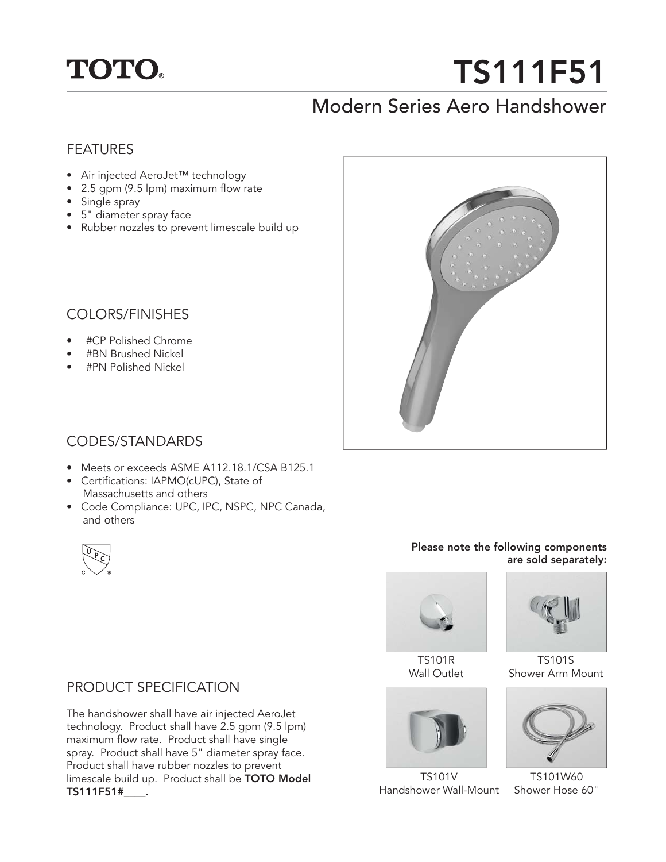

# **TS111F51**

## Modern Series Aero Handshower

## FEATURES

- Air injected AeroJet™ technology
- 2.5 gpm (9.5 lpm) maximum flow rate
- Single spray
- 5" diameter spray face
- Rubber nozzles to prevent limescale build up

## COLORS/FINISHES

- #CP Polished Chrome
- #BN Brushed Nickel
- #PN Polished Nickel



## CODES/STANDARDS

- Meets or exceeds ASME A112.18.1/CSA B125.1
- Certifications: IAPMO(cUPC), State of Massachusetts and others
- Code Compliance: UPC, IPC, NSPC, NPC Canada, and others



#### **Please note the following components are sold separately:**



TS101R Wall Outlet



TS101V Handshower Wall-Mount



TS101S Shower Arm Mount



TS101W60 Shower Hose 60"

## PRODUCT SPECIFICATION

The handshower shall have air injected AeroJet technology. Product shall have 2.5 gpm (9.5 lpm) maximum flow rate. Product shall have single spray. Product shall have 5" diameter spray face. Product shall have rubber nozzles to prevent limescale build up. Product shall be **TOTO Model TS111F51#\_\_\_\_.**